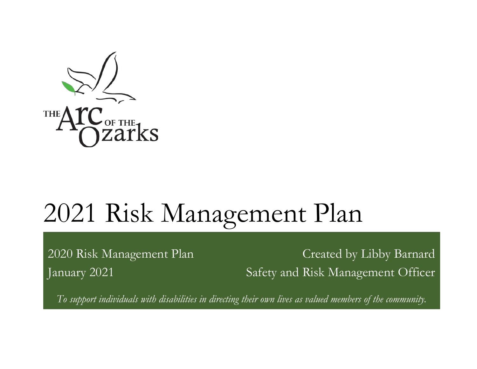

2020 Risk Management Plan Created by Libby Barnard January 2021 Safety and Risk Management Officer

*To support individuals with disabilities in directing their own lives as valued members of the community.*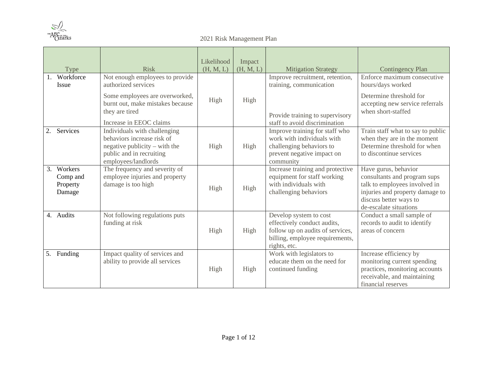

| Type                                            | <b>Risk</b>                                                                                                                                    | Likelihood<br>(H, M, L) | Impact<br>(H, M, L) | <b>Mitigation Strategy</b>                                                                                                                   | <b>Contingency Plan</b>                                                                                                                                                      |
|-------------------------------------------------|------------------------------------------------------------------------------------------------------------------------------------------------|-------------------------|---------------------|----------------------------------------------------------------------------------------------------------------------------------------------|------------------------------------------------------------------------------------------------------------------------------------------------------------------------------|
| 1. Workforce<br><b>Issue</b>                    | Not enough employees to provide<br>authorized services                                                                                         |                         |                     | Improve recruitment, retention,<br>training, communication                                                                                   | Enforce maximum consecutive<br>hours/days worked                                                                                                                             |
|                                                 | Some employees are overworked,<br>burnt out, make mistakes because<br>they are tired<br>Increase in EEOC claims                                | High                    | High                | Provide training to supervisory<br>staff to avoid discrimination                                                                             | Determine threshold for<br>accepting new service referrals<br>when short-staffed                                                                                             |
| Services<br>2.                                  | Individuals with challenging<br>behaviors increase risk of<br>negative publicity – with the<br>public and in recruiting<br>employees/landlords | High                    | High                | Improve training for staff who<br>work with individuals with<br>challenging behaviors to<br>prevent negative impact on<br>community          | Train staff what to say to public<br>when they are in the moment<br>Determine threshold for when<br>to discontinue services                                                  |
| 3.<br>Workers<br>Comp and<br>Property<br>Damage | The frequency and severity of<br>employee injuries and property<br>damage is too high                                                          | High                    | High                | Increase training and protective<br>equipment for staff working<br>with individuals with<br>challenging behaviors                            | Have gurus, behavior<br>consultants and program sups<br>talk to employees involved in<br>injuries and property damage to<br>discuss better ways to<br>de-escalate situations |
| 4. Audits                                       | Not following regulations puts<br>funding at risk                                                                                              | High                    | High                | Develop system to cost<br>effectively conduct audits,<br>follow up on audits of services,<br>billing, employee requirements,<br>rights, etc. | Conduct a small sample of<br>records to audit to identify<br>areas of concern                                                                                                |
| 5.<br>Funding                                   | Impact quality of services and<br>ability to provide all services                                                                              | High                    | High                | Work with legislators to<br>educate them on the need for<br>continued funding                                                                | Increase efficiency by<br>monitoring current spending<br>practices, monitoring accounts<br>receivable, and maintaining<br>financial reserves                                 |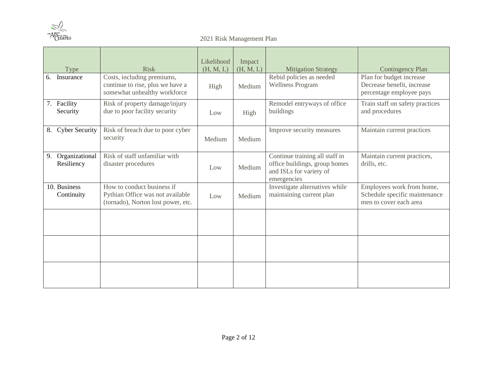

| Type                               | <b>Risk</b>                                                                                          | Likelihood<br>(H, M, L) | Impact<br>(H, M, L) | <b>Mitigation Strategy</b>                                                                                | <b>Contingency Plan</b>                                                              |
|------------------------------------|------------------------------------------------------------------------------------------------------|-------------------------|---------------------|-----------------------------------------------------------------------------------------------------------|--------------------------------------------------------------------------------------|
| Insurance<br>6.                    | Costs, including premiums,<br>continue to rise, plus we have a<br>somewhat unhealthy workforce       | High                    | Medium              | Rebid policies as needed<br><b>Wellness Program</b>                                                       | Plan for budget increase<br>Decrease benefit, increase<br>percentage employee pays   |
| 7. Facility<br>Security            | Risk of property damage/injury<br>due to poor facility security                                      | Low                     | High                | Remodel entryways of office<br>buildings                                                                  | Train staff on safety practices<br>and procedures                                    |
| <b>Cyber Security</b><br>8.        | Risk of breach due to poor cyber<br>security                                                         | Medium                  | Medium              | Improve security measures                                                                                 | Maintain current practices                                                           |
| Organizational<br>9.<br>Resiliency | Risk of staff unfamiliar with<br>disaster procedures                                                 | Low                     | Medium              | Continue training all staff in<br>office buildings, group homes<br>and ISLs for variety of<br>emergencies | Maintain current practices,<br>drills, etc.                                          |
| 10. Business<br>Continuity         | How to conduct business if<br>Pythian Office was not available<br>(tornado), Norton lost power, etc. | Low                     | Medium              | Investigate alternatives while<br>maintaining current plan                                                | Employees work from home,<br>Schedule specific maintenance<br>men to cover each area |
|                                    |                                                                                                      |                         |                     |                                                                                                           |                                                                                      |
|                                    |                                                                                                      |                         |                     |                                                                                                           |                                                                                      |
|                                    |                                                                                                      |                         |                     |                                                                                                           |                                                                                      |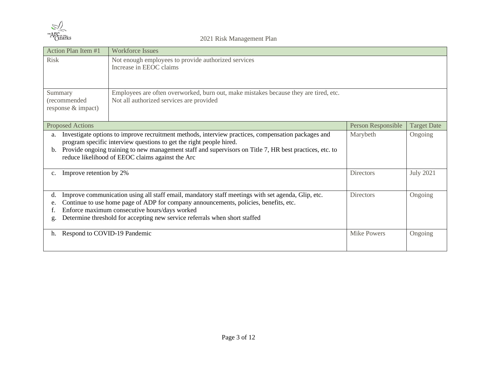

| Action Plan Item #1                           | <b>Workforce Issues</b>                                                                                                                                                                                                                                                                                                                  |                    |                    |
|-----------------------------------------------|------------------------------------------------------------------------------------------------------------------------------------------------------------------------------------------------------------------------------------------------------------------------------------------------------------------------------------------|--------------------|--------------------|
| <b>Risk</b>                                   | Not enough employees to provide authorized services<br>Increase in EEOC claims                                                                                                                                                                                                                                                           |                    |                    |
| Summary<br>(recommended<br>response & impact) | Employees are often overworked, burn out, make mistakes because they are tired, etc.<br>Not all authorized services are provided                                                                                                                                                                                                         |                    |                    |
| <b>Proposed Actions</b>                       |                                                                                                                                                                                                                                                                                                                                          | Person Responsible | <b>Target Date</b> |
| a.<br>b.                                      | Investigate options to improve recruitment methods, interview practices, compensation packages and<br>program specific interview questions to get the right people hired.<br>Provide ongoing training to new management staff and supervisors on Title 7, HR best practices, etc. to<br>reduce likelihood of EEOC claims against the Arc | Marybeth           | Ongoing            |
| Improve retention by 2%<br>$c_{\cdot}$        |                                                                                                                                                                                                                                                                                                                                          | <b>Directors</b>   | <b>July 2021</b>   |
| d.<br>e.<br>g.                                | Improve communication using all staff email, mandatory staff meetings with set agenda, Glip, etc.<br>Continue to use home page of ADP for company announcements, policies, benefits, etc.<br>Enforce maximum consecutive hours/days worked<br>Determine threshold for accepting new service referrals when short staffed                 | <b>Directors</b>   | Ongoing            |
| Respond to COVID-19 Pandemic<br>h.            |                                                                                                                                                                                                                                                                                                                                          | <b>Mike Powers</b> | Ongoing            |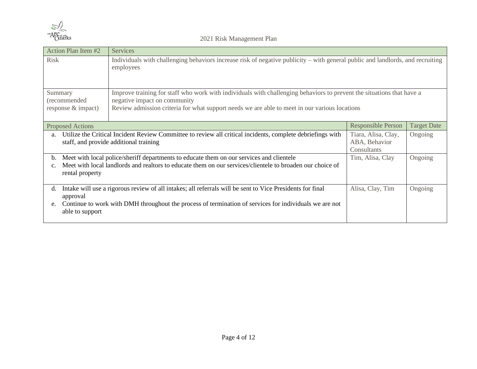

| <b>Action Plan Item #2</b>                                                                                                                                                                                                                                                                              | Services                                                                                                                                    |                  |         |  |
|---------------------------------------------------------------------------------------------------------------------------------------------------------------------------------------------------------------------------------------------------------------------------------------------------------|---------------------------------------------------------------------------------------------------------------------------------------------|------------------|---------|--|
| <b>Risk</b>                                                                                                                                                                                                                                                                                             | Individuals with challenging behaviors increase risk of negative publicity – with general public and landlords, and recruiting<br>employees |                  |         |  |
| Improve training for staff who work with individuals with challenging behaviors to prevent the situations that have a<br>Summary<br>(recommended<br>negative impact on community<br>Review admission criteria for what support needs we are able to meet in our various locations<br>response & impact) |                                                                                                                                             |                  |         |  |
| <b>Proposed Actions</b>                                                                                                                                                                                                                                                                                 | <b>Responsible Person</b><br><b>Target Date</b>                                                                                             |                  |         |  |
| Utilize the Critical Incident Review Committee to review all critical incidents, complete debriefings with<br>a.<br>staff, and provide additional training                                                                                                                                              | Tiara, Alisa, Clay,<br>ABA, Behavior<br>Consultants                                                                                         | Ongoing          |         |  |
| Meet with local police/sheriff departments to educate them on our services and clientele<br>Tim, Alisa, Clay<br>Ongoing<br>b.<br>Meet with local landlords and realtors to educate them on our services/clientele to broaden our choice of<br>rental property                                           |                                                                                                                                             |                  |         |  |
| d.<br>approval                                                                                                                                                                                                                                                                                          | In take will use a rigorous review of all intakes; all referrals will be sent to Vice Presidents for final                                  | Alisa, Clay, Tim | Ongoing |  |
| e.<br>able to support                                                                                                                                                                                                                                                                                   | Continue to work with DMH throughout the process of termination of services for individuals we are not                                      |                  |         |  |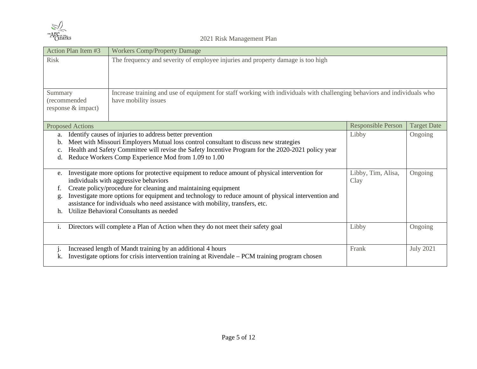

| Action Plan Item #3                           | <b>Workers Comp/Property Damage</b>                                                                                                                                                                                                                                                                                                                                                                                                            |                            |                    |
|-----------------------------------------------|------------------------------------------------------------------------------------------------------------------------------------------------------------------------------------------------------------------------------------------------------------------------------------------------------------------------------------------------------------------------------------------------------------------------------------------------|----------------------------|--------------------|
| <b>Risk</b>                                   | The frequency and severity of employee injuries and property damage is too high                                                                                                                                                                                                                                                                                                                                                                |                            |                    |
| Summary<br>(recommended<br>response & impact) | Increase training and use of equipment for staff working with individuals with challenging behaviors and individuals who<br>have mobility issues                                                                                                                                                                                                                                                                                               |                            |                    |
| <b>Proposed Actions</b>                       |                                                                                                                                                                                                                                                                                                                                                                                                                                                | Responsible Person         | <b>Target Date</b> |
| a.<br>b.<br>d.                                | Identify causes of injuries to address better prevention<br>Meet with Missouri Employers Mutual loss control consultant to discuss new strategies<br>Health and Safety Committee will revise the Safety Incentive Program for the 2020-2021 policy year<br>Reduce Workers Comp Experience Mod from 1.09 to 1.00                                                                                                                                | Libby                      | Ongoing            |
| e.<br>f.<br>g.<br>$h_{\cdot}$                 | Investigate more options for protective equipment to reduce amount of physical intervention for<br>individuals with aggressive behaviors<br>Create policy/procedure for cleaning and maintaining equipment<br>Investigate more options for equipment and technology to reduce amount of physical intervention and<br>assistance for individuals who need assistance with mobility, transfers, etc.<br>Utilize Behavioral Consultants as needed | Libby, Tim, Alisa,<br>Clay | Ongoing            |
| i.                                            | Directors will complete a Plan of Action when they do not meet their safety goal                                                                                                                                                                                                                                                                                                                                                               | Libby                      | Ongoing            |
| k.                                            | Increased length of Mandt training by an additional 4 hours<br>Investigate options for crisis intervention training at Rivendale – PCM training program chosen                                                                                                                                                                                                                                                                                 | Frank                      | <b>July 2021</b>   |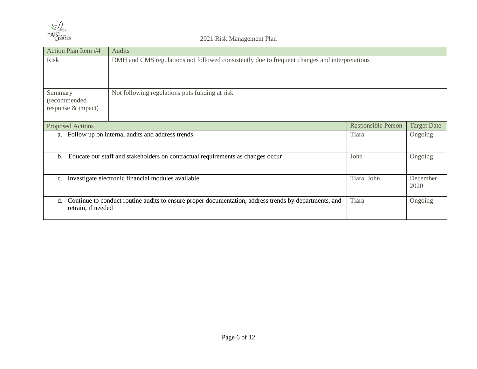

| Action Plan Item #4                           | Audits                                                                                                |                           |                    |
|-----------------------------------------------|-------------------------------------------------------------------------------------------------------|---------------------------|--------------------|
| <b>Risk</b>                                   | DMH and CMS regulations not followed consistently due to frequent changes and interpretations         |                           |                    |
| Summary<br>(recommended<br>response & impact) | Not following regulations puts funding at risk                                                        |                           |                    |
| <b>Proposed Actions</b>                       |                                                                                                       | <b>Responsible Person</b> | <b>Target Date</b> |
| a.                                            | Follow up on internal audits and address trends                                                       | Tiara                     | Ongoing            |
| b.                                            | Educate our staff and stakeholders on contractual requirements as changes occur                       | John                      | Ongoing            |
| $\mathbf{c}$ .                                | Investigate electronic financial modules available                                                    | Tiara, John               | December<br>2020   |
| d.<br>retrain, if needed                      | Continue to conduct routine audits to ensure proper documentation, address trends by departments, and | Tiara                     | Ongoing            |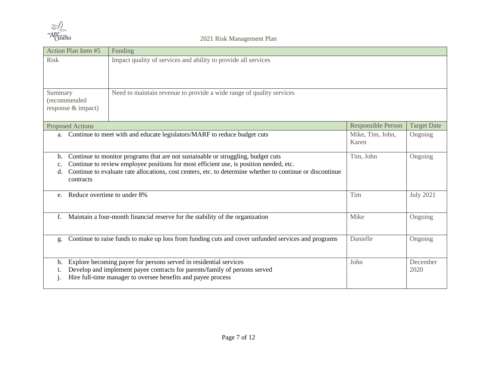

| Action Plan Item #5                                                                                                                                                                                                                                                                                                    |  | Funding                                                                                                                                                                                                         |                           |                    |
|------------------------------------------------------------------------------------------------------------------------------------------------------------------------------------------------------------------------------------------------------------------------------------------------------------------------|--|-----------------------------------------------------------------------------------------------------------------------------------------------------------------------------------------------------------------|---------------------------|--------------------|
| <b>Risk</b>                                                                                                                                                                                                                                                                                                            |  | Impact quality of services and ability to provide all services                                                                                                                                                  |                           |                    |
| Summary<br>(recommended<br>response & impact)                                                                                                                                                                                                                                                                          |  | Need to maintain revenue to provide a wide range of quality services                                                                                                                                            |                           |                    |
| <b>Proposed Actions</b>                                                                                                                                                                                                                                                                                                |  |                                                                                                                                                                                                                 | Responsible Person        | <b>Target Date</b> |
| a.                                                                                                                                                                                                                                                                                                                     |  | Continue to meet with and educate legislators/MARF to reduce budget cuts                                                                                                                                        | Mike, Tim, John,<br>Karen | Ongoing            |
| Continue to monitor programs that are not sustainable or struggling, budget cuts<br>b.<br>Continue to review employee positions for most efficient use, is position needed, etc.<br>c.<br>Continue to evaluate rate allocations, cost centers, etc. to determine whether to continue or discontinue<br>d.<br>contracts |  | Tim, John                                                                                                                                                                                                       | Ongoing                   |                    |
| e.                                                                                                                                                                                                                                                                                                                     |  | Reduce overtime to under 8%                                                                                                                                                                                     | Tim                       | <b>July 2021</b>   |
| f.                                                                                                                                                                                                                                                                                                                     |  | Maintain a four-month financial reserve for the stability of the organization                                                                                                                                   | Mike                      | Ongoing            |
| g.                                                                                                                                                                                                                                                                                                                     |  | Continue to raise funds to make up loss from funding cuts and cover unfunded services and programs                                                                                                              | Danielle                  | Ongoing            |
| h.                                                                                                                                                                                                                                                                                                                     |  | Explore becoming payee for persons served in residential services<br>Develop and implement payee contracts for parents/family of persons served<br>Hire full-time manager to oversee benefits and payee process | John                      | December<br>2020   |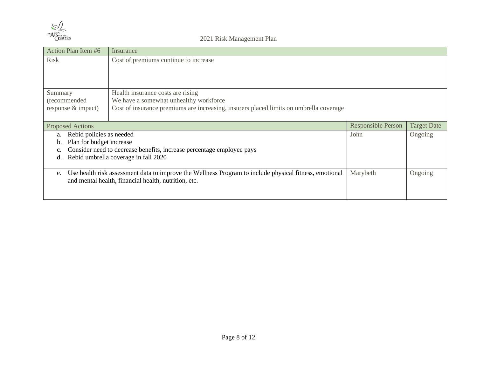

| Action Plan Item #6            | Insurance                                                                                              |                           |                    |
|--------------------------------|--------------------------------------------------------------------------------------------------------|---------------------------|--------------------|
| <b>Risk</b>                    | Cost of premiums continue to increase                                                                  |                           |                    |
|                                |                                                                                                        |                           |                    |
|                                |                                                                                                        |                           |                    |
| Summary                        | Health insurance costs are rising                                                                      |                           |                    |
| (recommended                   | We have a somewhat unhealthy workforce                                                                 |                           |                    |
| response & impact)             | Cost of insurance premiums are increasing, insurers placed limits on umbrella coverage                 |                           |                    |
|                                |                                                                                                        |                           |                    |
| <b>Proposed Actions</b>        |                                                                                                        | <b>Responsible Person</b> | <b>Target Date</b> |
| Rebid policies as needed<br>a. |                                                                                                        | John                      | Ongoing            |
| Plan for budget increase<br>b. |                                                                                                        |                           |                    |
|                                | Consider need to decrease benefits, increase percentage employee pays                                  |                           |                    |
| d.                             | Rebid umbrella coverage in fall 2020                                                                   |                           |                    |
|                                |                                                                                                        |                           |                    |
| e.                             | Use health risk assessment data to improve the Wellness Program to include physical fitness, emotional | Marybeth                  | Ongoing            |
|                                | and mental health, financial health, nutrition, etc.                                                   |                           |                    |
|                                |                                                                                                        |                           |                    |
|                                |                                                                                                        |                           |                    |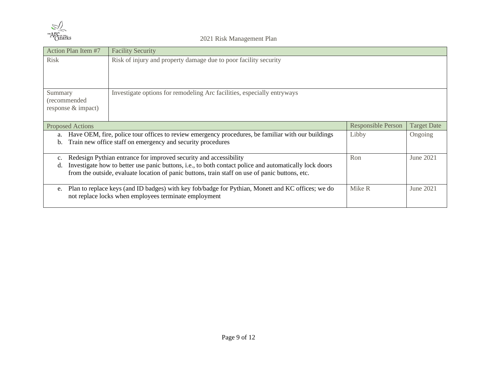

| Action Plan Item #7                           | <b>Facility Security</b>                                                                                                                                                                                  |                           |                    |  |  |
|-----------------------------------------------|-----------------------------------------------------------------------------------------------------------------------------------------------------------------------------------------------------------|---------------------------|--------------------|--|--|
| <b>Risk</b>                                   | Risk of injury and property damage due to poor facility security                                                                                                                                          |                           |                    |  |  |
|                                               |                                                                                                                                                                                                           |                           |                    |  |  |
| Summary<br>(recommended<br>response & impact) | Investigate options for remodeling Arc facilities, especially entryways                                                                                                                                   |                           |                    |  |  |
| <b>Proposed Actions</b>                       |                                                                                                                                                                                                           | <b>Responsible Person</b> | <b>Target Date</b> |  |  |
| a.                                            | Have OEM, fire, police tour offices to review emergency procedures, be familiar with our buildings                                                                                                        | Libby                     | Ongoing            |  |  |
| $b_{1}$                                       | Train new office staff on emergency and security procedures                                                                                                                                               |                           |                    |  |  |
| $\mathbf{c}$ .                                | Redesign Pythian entrance for improved security and accessibility                                                                                                                                         | Ron                       | June 2021          |  |  |
| d.                                            | Investigate how to better use panic buttons, i.e., to both contact police and automatically lock doors<br>from the outside, evaluate location of panic buttons, train staff on use of panic buttons, etc. |                           |                    |  |  |
| e.                                            | Plan to replace keys (and ID badges) with key fob/badge for Pythian, Monett and KC offices; we do<br>not replace locks when employees terminate employment                                                | Mike R                    | June 2021          |  |  |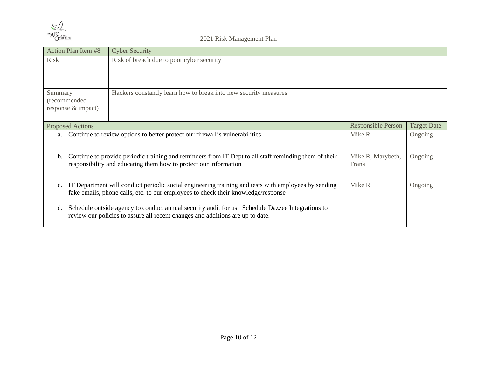

| <b>Action Plan Item #8</b>                                                                             | <b>Cyber Security</b>                                                                                                                                                                    |                            |                    |
|--------------------------------------------------------------------------------------------------------|------------------------------------------------------------------------------------------------------------------------------------------------------------------------------------------|----------------------------|--------------------|
| <b>Risk</b>                                                                                            | Risk of breach due to poor cyber security                                                                                                                                                |                            |                    |
| Summary<br>(recommended<br>response & impact)                                                          | Hackers constantly learn how to break into new security measures                                                                                                                         |                            |                    |
| <b>Proposed Actions</b>                                                                                |                                                                                                                                                                                          | Responsible Person         | <b>Target Date</b> |
| Continue to review options to better protect our firewall's vulnerabilities<br>Mike R<br>Ongoing<br>a. |                                                                                                                                                                                          |                            |                    |
| b.                                                                                                     | Continue to provide periodic training and reminders from IT Dept to all staff reminding them of their<br>responsibility and educating them how to protect our information                | Mike R, Marybeth,<br>Frank | Ongoing            |
| $\mathbf{c}$ .                                                                                         | IT Department will conduct periodic social engineering training and tests with employees by sending<br>fake emails, phone calls, etc. to our employees to check their knowledge/response | Mike R                     | Ongoing            |
| d.                                                                                                     | Schedule outside agency to conduct annual security audit for us. Schedule Dazzee Integrations to<br>review our policies to assure all recent changes and additions are up to date.       |                            |                    |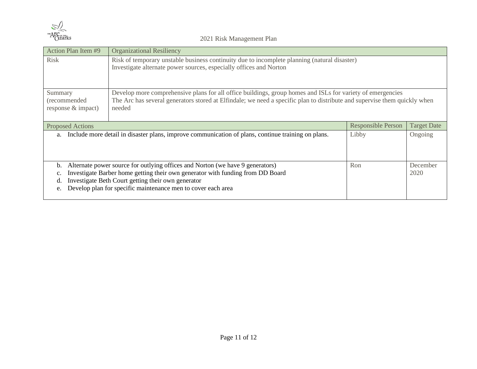

| Action Plan Item #9                                                                                                                                                                                                                                                                                | <b>Organizational Resiliency</b>                                                                                                                                                                                                                                                      |                           |                    |
|----------------------------------------------------------------------------------------------------------------------------------------------------------------------------------------------------------------------------------------------------------------------------------------------------|---------------------------------------------------------------------------------------------------------------------------------------------------------------------------------------------------------------------------------------------------------------------------------------|---------------------------|--------------------|
| <b>Risk</b>                                                                                                                                                                                                                                                                                        | Risk of temporary unstable business continuity due to incomplete planning (natural disaster)<br>Investigate alternate power sources, especially offices and Norton                                                                                                                    |                           |                    |
| Develop more comprehensive plans for all office buildings, group homes and ISLs for variety of emergencies<br>Summary<br>The Arc has several generators stored at Elfindale; we need a specific plan to distribute and supervise them quickly when<br>(recommended<br>response & impact)<br>needed |                                                                                                                                                                                                                                                                                       |                           |                    |
| <b>Proposed Actions</b>                                                                                                                                                                                                                                                                            |                                                                                                                                                                                                                                                                                       | <b>Responsible Person</b> | <b>Target Date</b> |
| Include more detail in disaster plans, improve communication of plans, continue training on plans.<br>Libby<br>Ongoing<br>a.                                                                                                                                                                       |                                                                                                                                                                                                                                                                                       |                           |                    |
| b.<br>$\mathbf{c}$ .<br>d.<br>e.                                                                                                                                                                                                                                                                   | Alternate power source for outlying offices and Norton (we have 9 generators)<br>Investigate Barber home getting their own generator with funding from DD Board<br>Investigate Beth Court getting their own generator<br>Develop plan for specific maintenance men to cover each area | Ron                       | December<br>2020   |